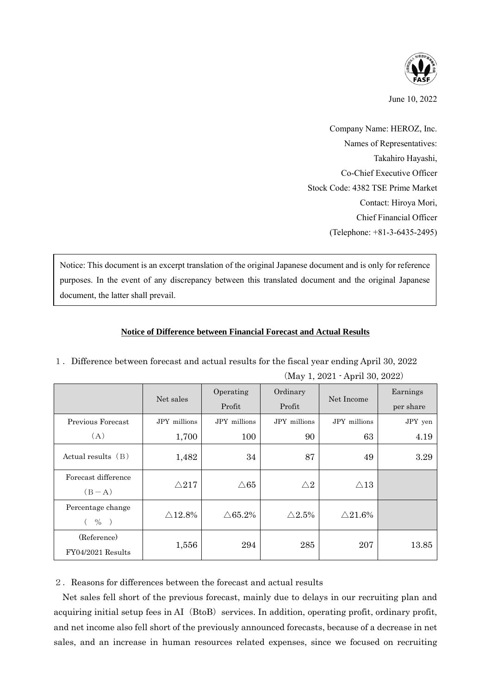

June 10, 2022

Company Name: HEROZ, Inc. Names of Representatives: Takahiro Hayashi, Co-Chief Executive Officer Stock Code: 4382 TSE Prime Market Contact: Hiroya Mori, Chief Financial Officer (Telephone: +81-3-6435-2495)

Notice: This document is an excerpt translation of the original Japanese document and is only for reference purposes. In the event of any discrepancy between this translated document and the original Japanese document, the latter shall prevail.

## **Notice of Difference between Financial Forecast and Actual Results**

|                                        | Net sales          | Operating<br>Profit | Ordinary<br>Profit | Net Income         | Earnings<br>per share |
|----------------------------------------|--------------------|---------------------|--------------------|--------------------|-----------------------|
| Previous Forecast                      | JPY millions       | JPY millions        | JPY millions       | JPY millions       | JPY yen               |
| (A)                                    | 1,700              | 100                 | 90                 | 63                 | 4.19                  |
| Actual results $(B)$                   | 1,482              | 34                  | 87                 | 49                 | 3.29                  |
| Forecast difference<br>$(B-A)$         | $\triangle$ 217    | $\triangle 65$      | $\triangle2$       | $\triangle 13$     |                       |
| Percentage change<br>$( \frac{9}{6} )$ | $\triangle 12.8\%$ | $\triangle 65.2\%$  | $\triangle 2.5\%$  | $\triangle 21.6\%$ |                       |
| (Reference)<br>FY04/2021 Results       | 1,556              | 294                 | 285                | 207                | 13.85                 |

1.Difference between forecast and actual results for the fiscal year ending April 30, 2022 (May 1, 2021 - April 30, 2022)

2.Reasons for differences between the forecast and actual results

Net sales fell short of the previous forecast, mainly due to delays in our recruiting plan and acquiring initial setup fees in AI (BtoB) services. In addition, operating profit, ordinary profit, and net income also fell short of the previously announced forecasts, because of a decrease in net sales, and an increase in human resources related expenses, since we focused on recruiting